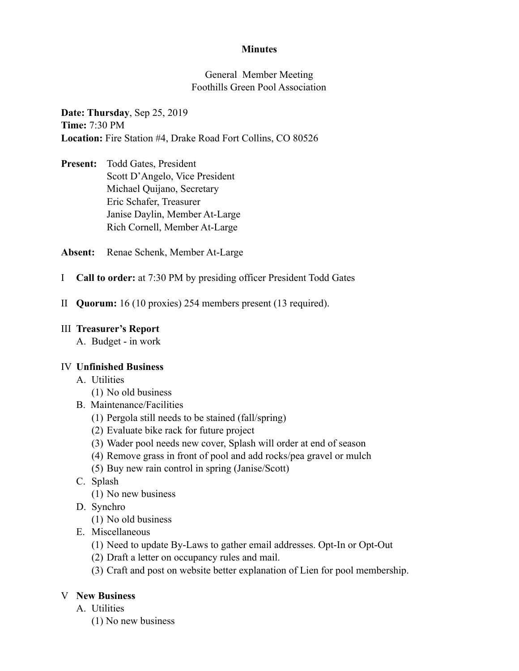# **Minutes**

# General Member Meeting Foothills Green Pool Association

**Date: Thursday**, Sep 25, 2019 **Time:** 7:30 PM **Location:** Fire Station #4, Drake Road Fort Collins, CO 80526

**Present:** Todd Gates, President Scott D'Angelo, Vice President Michael Quijano, Secretary Eric Schafer, Treasurer Janise Daylin, Member At-Large Rich Cornell, Member At-Large

**Absent:** Renae Schenk, Member At-Large

- I **Call to order:** at 7:30 PM by presiding officer President Todd Gates
- II **Quorum:** 16 (10 proxies) 254 members present (13 required).

## III **Treasurer's Report**

A. Budget - in work

## IV **Unfinished Business**

- A. Utilities
	- (1) No old business
- B. Maintenance/Facilities
	- (1) Pergola still needs to be stained (fall/spring)
	- (2) Evaluate bike rack for future project
	- (3) Wader pool needs new cover, Splash will order at end of season
	- (4) Remove grass in front of pool and add rocks/pea gravel or mulch
	- (5) Buy new rain control in spring (Janise/Scott)
- C. Splash
	- (1) No new business
- D. Synchro
	- (1) No old business
- E. Miscellaneous
	- (1) Need to update By-Laws to gather email addresses. Opt-In or Opt-Out
	- (2) Draft a letter on occupancy rules and mail.
	- (3) Craft and post on website better explanation of Lien for pool membership.

# V **New Business**

- A. Utilities
	- (1) No new business